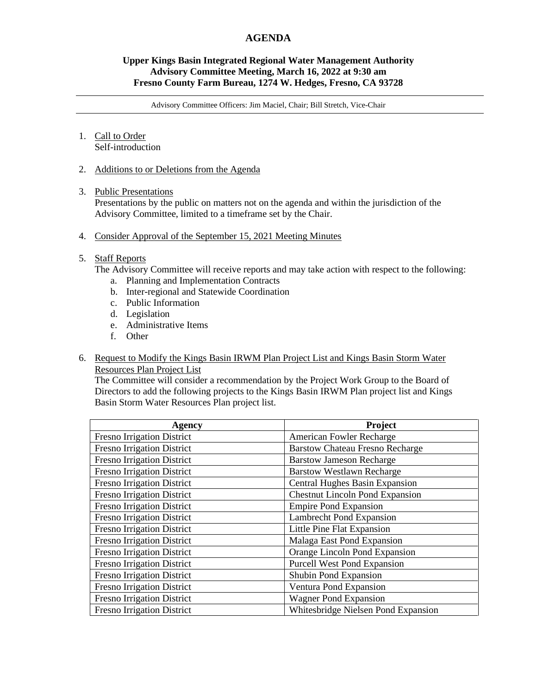# **AGENDA**

## **Upper Kings Basin Integrated Regional Water Management Authority Advisory Committee Meeting, March 16, 2022 at 9:30 am Fresno County Farm Bureau, 1274 W. Hedges, Fresno, CA 93728**

Advisory Committee Officers: Jim Maciel, Chair; Bill Stretch, Vice-Chair

#### 1. Call to Order Self-introduction

2. Additions to or Deletions from the Agenda

#### 3. Public Presentations

Presentations by the public on matters not on the agenda and within the jurisdiction of the Advisory Committee, limited to a timeframe set by the Chair.

4. Consider Approval of the September 15, 2021 Meeting Minutes

## 5. Staff Reports

The Advisory Committee will receive reports and may take action with respect to the following:

- a. Planning and Implementation Contracts
- b. Inter-regional and Statewide Coordination
- c. Public Information
- d. Legislation
- e. Administrative Items
- f. Other
- 6. Request to Modify the Kings Basin IRWM Plan Project List and Kings Basin Storm Water Resources Plan Project List

The Committee will consider a recommendation by the Project Work Group to the Board of Directors to add the following projects to the Kings Basin IRWM Plan project list and Kings Basin Storm Water Resources Plan project list.

| Agency                            | Project                                |
|-----------------------------------|----------------------------------------|
| <b>Fresno Irrigation District</b> | American Fowler Recharge               |
| <b>Fresno Irrigation District</b> | <b>Barstow Chateau Fresno Recharge</b> |
| <b>Fresno Irrigation District</b> | <b>Barstow Jameson Recharge</b>        |
| <b>Fresno Irrigation District</b> | <b>Barstow Westlawn Recharge</b>       |
| <b>Fresno Irrigation District</b> | Central Hughes Basin Expansion         |
| <b>Fresno Irrigation District</b> | <b>Chestnut Lincoln Pond Expansion</b> |
| <b>Fresno Irrigation District</b> | <b>Empire Pond Expansion</b>           |
| <b>Fresno Irrigation District</b> | <b>Lambrecht Pond Expansion</b>        |
| <b>Fresno Irrigation District</b> | Little Pine Flat Expansion             |
| <b>Fresno Irrigation District</b> | Malaga East Pond Expansion             |
| <b>Fresno Irrigation District</b> | Orange Lincoln Pond Expansion          |
| <b>Fresno Irrigation District</b> | <b>Purcell West Pond Expansion</b>     |
| <b>Fresno Irrigation District</b> | Shubin Pond Expansion                  |
| <b>Fresno Irrigation District</b> | Ventura Pond Expansion                 |
| <b>Fresno Irrigation District</b> | <b>Wagner Pond Expansion</b>           |
| <b>Fresno Irrigation District</b> | Whitesbridge Nielsen Pond Expansion    |